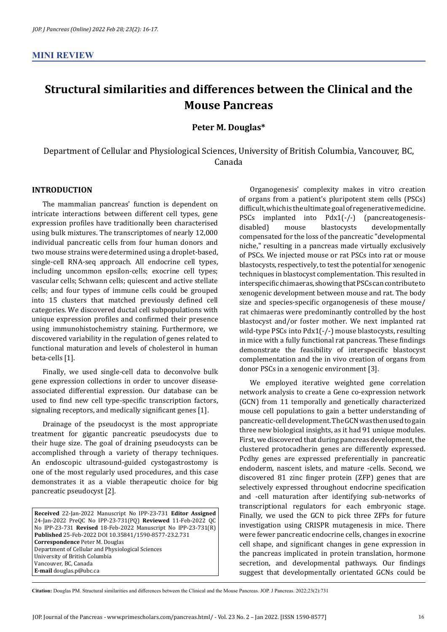## **Structural similarities and differences between the Clinical and the Mouse Pancreas**

## **Peter M. Douglas\***

Department of Cellular and Physiological Sciences, University of British Columbia, Vancouver, BC, Canada

## **INTRODUCTION**

The mammalian pancreas' function is dependent on intricate interactions between different cell types, gene expression profiles have traditionally been characterised using bulk mixtures. The transcriptomes of nearly 12,000 individual pancreatic cells from four human donors and two mouse strains were determined using a droplet-based, single-cell RNA-seq approach. All endocrine cell types, including uncommon epsilon-cells; exocrine cell types; vascular cells; Schwann cells; quiescent and active stellate cells; and four types of immune cells could be grouped into 15 clusters that matched previously defined cell categories. We discovered ductal cell subpopulations with unique expression profiles and confirmed their presence using immunohistochemistry staining. Furthermore, we discovered variability in the regulation of genes related to functional maturation and levels of cholesterol in human beta-cells [1].

Finally, we used single-cell data to deconvolve bulk gene expression collections in order to uncover diseaseassociated differential expression. Our database can be used to find new cell type-specific transcription factors, signaling receptors, and medically significant genes [1].

Drainage of the pseudocyst is the most appropriate treatment for gigantic pancreatic pseudocysts due to their huge size. The goal of draining pseudocysts can be accomplished through a variety of therapy techniques. An endoscopic ultrasound-guided cystogastrostomy is one of the most regularly used procedures, and this case demonstrates it as a viable therapeutic choice for big pancreatic pseudocyst [2].

**Received** 22-Jan-2022 Manuscript No IPP-23-731 **Editor Assigned**  24-Jan-2022 PreQC No IPP-23-731(PQ) **Reviewed** 11-Feb-2022 QC No IPP-23-731 **Revised** 18-Feb-2022 Manuscript No IPP-23-731(R) **Published** 25-Feb-2022 DOI 10.35841/1590-8577-23.2.731 **Correspondence** Peter M. Douglas Department of Cellular and Physiological Sciences University of British Columbia Vancouver, BC, Canada **E-mail** douglas.p@ubc.ca

Organogenesis' complexity makes in vitro creation of organs from a patient's pluripotent stem cells (PSCs) difficult, which is the ultimate goal of regenerative medicine.<br>PSCs implanted into Pdx1(-/-) (pancreatogenesis-PSCs implanted into  $Pdx1(-/-)$ <br>disabled) mouse blastocysts developmentally compensated for the loss of the pancreatic "developmental niche," resulting in a pancreas made virtually exclusively of PSCs. We injected mouse or rat PSCs into rat or mouse blastocysts, respectively, to test the potential for xenogenic techniques in blastocyst complementation. This resulted in interspecific chimaeras, showing that PSCs can contribute to xenogenic development between mouse and rat. The body size and species-specific organogenesis of these mouse/ rat chimaeras were predominantly controlled by the host blastocyst and/or foster mother. We next implanted rat wild-type PSCs into Pdx1(-/-) mouse blastocysts, resulting in mice with a fully functional rat pancreas. These findings demonstrate the feasibility of interspecific blastocyst complementation and the in vivo creation of organs from donor PSCs in a xenogenic environment [3].

We employed iterative weighted gene correlation network analysis to create a Gene co-expression network (GCN) from 11 temporally and genetically characterized mouse cell populations to gain a better understanding of pancreatic-cell development. The GCN was then used to gain three new biological insights, as it had 91 unique modules. First, we discovered that during pancreas development, the clustered protocadherin genes are differently expressed. Pcdhy genes are expressed preferentially in pancreatic endoderm, nascent islets, and mature -cells. Second, we discovered 81 zinc finger protein (ZFP) genes that are selectively expressed throughout endocrine specification and -cell maturation after identifying sub-networks of transcriptional regulators for each embryonic stage. Finally, we used the GCN to pick three ZFPs for future investigation using CRISPR mutagenesis in mice. There were fewer pancreatic endocrine cells, changes in exocrine cell shape, and significant changes in gene expression in the pancreas implicated in protein translation, hormone secretion, and developmental pathways. Our findings suggest that developmentally orientated GCNs could be

**Citation:** Douglas PM. Structural similarities and differences between the Clinical and the Mouse Pancreas. JOP. J Pancreas. 2022;23(2):731